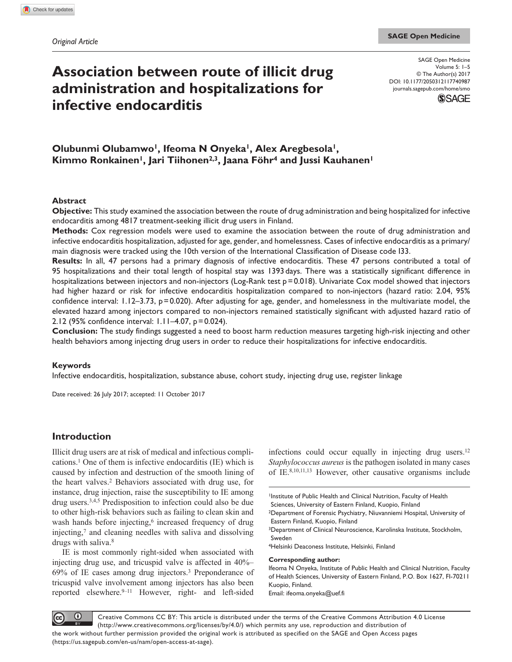# **Association between route of illicit drug administration and hospitalizations for infective endocarditis**

DOI: 10.1177/2050312117740987 SAGE Open Medicine Volume 5: 1–5 © The Author(s) 2017 [journals.sagepub.com/home/smo](https://journals.sagepub.com/home/smo)



# Olubunmi Olubamwo<sup>1</sup>, Ifeoma N Onyeka<sup>1</sup>, Alex Aregbesola<sup>1</sup>, Kimmo Ronkainen<sup>1</sup>, Jari Tiihonen<sup>2,3</sup>, Jaana Föhr<sup>4</sup> and Jussi Kauhanen<sup>1</sup>

### **Abstract**

**Objective:** This study examined the association between the route of drug administration and being hospitalized for infective endocarditis among 4817 treatment-seeking illicit drug users in Finland.

**Methods:** Cox regression models were used to examine the association between the route of drug administration and infective endocarditis hospitalization, adjusted for age, gender, and homelessness. Cases of infective endocarditis as a primary/ main diagnosis were tracked using the 10th version of the International Classification of Disease code I33.

**Results:** In all, 47 persons had a primary diagnosis of infective endocarditis. These 47 persons contributed a total of 95 hospitalizations and their total length of hospital stay was 1393days. There was a statistically significant difference in hospitalizations between injectors and non-injectors (Log-Rank test p=0.018). Univariate Cox model showed that injectors had higher hazard or risk for infective endocarditis hospitalization compared to non-injectors (hazard ratio: 2.04, 95% confidence interval: 1.12–3.73, p=0.020). After adjusting for age, gender, and homelessness in the multivariate model, the elevated hazard among injectors compared to non-injectors remained statistically significant with adjusted hazard ratio of 2.12 (95% confidence interval: 1.11–4.07, p=0.024).

**Conclusion:** The study findings suggested a need to boost harm reduction measures targeting high-risk injecting and other health behaviors among injecting drug users in order to reduce their hospitalizations for infective endocarditis.

#### **Keywords**

Infective endocarditis, hospitalization, substance abuse, cohort study, injecting drug use, register linkage

Date received: 26 July 2017; accepted: 11 October 2017

# **Introduction**

Illicit drug users are at risk of medical and infectious complications.1 One of them is infective endocarditis (IE) which is caused by infection and destruction of the smooth lining of the heart valves.2 Behaviors associated with drug use, for instance, drug injection, raise the susceptibility to IE among drug users.3,4,5 Predisposition to infection could also be due to other high-risk behaviors such as failing to clean skin and wash hands before injecting,<sup>6</sup> increased frequency of drug injecting,7 and cleaning needles with saliva and dissolving drugs with saliva.8

IE is most commonly right-sided when associated with injecting drug use, and tricuspid valve is affected in 40%– 69% of IE cases among drug injectors.3 Preponderance of tricuspid valve involvement among injectors has also been reported elsewhere.9–11 However, right- and left-sided

infections could occur equally in injecting drug users.12 *Staphylococcus aureus* is the pathogen isolated in many cases of IE.8,10,11,13 However, other causative organisms include

**Corresponding author:**

Ifeoma N Onyeka, Institute of Public Health and Clinical Nutrition, Faculty of Health Sciences, University of Eastern Finland, P.O. Box 1627, FI-70211 Kuopio, Finland.

Email: [ifeoma.onyeka@uef.fi](mailto:ifeoma.onyeka@uef.fi)

 $\odot$ Creative Commons CC BY: This article is distributed under the terms of the Creative Commons Attribution 4.0 License (http://www.creativecommons.org/licenses/by/4.0/) which permits any use, reproduction and distribution of the work without further permission provided the original work is attributed as specified on the SAGE and Open Access pages (https://us.sagepub.com/en-us/nam/open-access-at-sage).

Institute of Public Health and Clinical Nutrition, Faculty of Health Sciences, University of Eastern Finland, Kuopio, Finland

<sup>2</sup>Department of Forensic Psychiatry, Niuvanniemi Hospital, University of Eastern Finland, Kuopio, Finland

<sup>3</sup>Department of Clinical Neuroscience, Karolinska Institute, Stockholm, Sweden

<sup>4</sup>Helsinki Deaconess Institute, Helsinki, Finland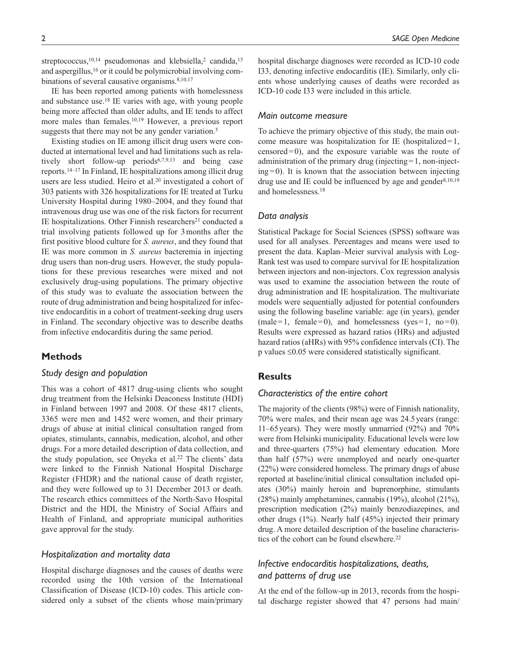streptococcus,<sup>10,14</sup> pseudomonas and klebsiella,<sup>2</sup> candida,<sup>15</sup> and aspergillus,<sup>16</sup> or it could be polymicrobial involving combinations of several causative organisms.<sup>8,10,17</sup>

IE has been reported among patients with homelessness and substance use.18 IE varies with age, with young people being more affected than older adults, and IE tends to affect more males than females.10,19 However, a previous report suggests that there may not be any gender variation.<sup>5</sup>

Existing studies on IE among illicit drug users were conducted at international level and had limitations such as relatively short follow-up periods<sup>6,7,9,13</sup> and being case reports.14–17 In Finland, IE hospitalizations among illicit drug users are less studied. Heiro et al.<sup>20</sup> investigated a cohort of 303 patients with 326 hospitalizations for IE treated at Turku University Hospital during 1980–2004, and they found that intravenous drug use was one of the risk factors for recurrent IE hospitalizations. Other Finnish researchers<sup>21</sup> conducted a trial involving patients followed up for 3months after the first positive blood culture for *S. aureus*, and they found that IE was more common in *S. aureus* bacteremia in injecting drug users than non-drug users. However, the study populations for these previous researches were mixed and not exclusively drug-using populations. The primary objective of this study was to evaluate the association between the route of drug administration and being hospitalized for infective endocarditis in a cohort of treatment-seeking drug users in Finland. The secondary objective was to describe deaths from infective endocarditis during the same period.

## **Methods**

# *Study design and population*

This was a cohort of 4817 drug-using clients who sought drug treatment from the Helsinki Deaconess Institute (HDI) in Finland between 1997 and 2008. Of these 4817 clients, 3365 were men and 1452 were women, and their primary drugs of abuse at initial clinical consultation ranged from opiates, stimulants, cannabis, medication, alcohol, and other drugs. For a more detailed description of data collection, and the study population, see Onyeka et al.22 The clients' data were linked to the Finnish National Hospital Discharge Register (FHDR) and the national cause of death register, and they were followed up to 31 December 2013 or death. The research ethics committees of the North-Savo Hospital District and the HDI, the Ministry of Social Affairs and Health of Finland, and appropriate municipal authorities gave approval for the study.

#### *Hospitalization and mortality data*

Hospital discharge diagnoses and the causes of deaths were recorded using the 10th version of the International Classification of Disease (ICD-10) codes. This article considered only a subset of the clients whose main/primary hospital discharge diagnoses were recorded as ICD-10 code I33, denoting infective endocarditis (IE). Similarly, only clients whose underlying causes of deaths were recorded as ICD-10 code I33 were included in this article.

#### *Main outcome measure*

To achieve the primary objective of this study, the main outcome measure was hospitalization for IE (hospitalized=1, censored=0), and the exposure variable was the route of administration of the primary drug (injecting=1, non-inject $ing=0$ . It is known that the association between injecting drug use and IE could be influenced by age and gender $8,10,19$ and homelessness.18

### *Data analysis*

Statistical Package for Social Sciences (SPSS) software was used for all analyses. Percentages and means were used to present the data. Kaplan–Meier survival analysis with Log-Rank test was used to compare survival for IE hospitalization between injectors and non-injectors. Cox regression analysis was used to examine the association between the route of drug administration and IE hospitalization. The multivariate models were sequentially adjusted for potential confounders using the following baseline variable: age (in years), gender  $(male=1, female=0)$ , and homelessness (yes=1, no=0). Results were expressed as hazard ratios (HRs) and adjusted hazard ratios (aHRs) with 95% confidence intervals (CI). The p values ≤0.05 were considered statistically significant.

### **Results**

### *Characteristics of the entire cohort*

The majority of the clients (98%) were of Finnish nationality, 70% were males, and their mean age was 24.5years (range: 11–65years). They were mostly unmarried (92%) and 70% were from Helsinki municipality. Educational levels were low and three-quarters (75%) had elementary education. More than half (57%) were unemployed and nearly one-quarter (22%) were considered homeless. The primary drugs of abuse reported at baseline/initial clinical consultation included opiates (30%) mainly heroin and buprenorphine, stimulants (28%) mainly amphetamines, cannabis (19%), alcohol (21%), prescription medication (2%) mainly benzodiazepines, and other drugs (1%). Nearly half (45%) injected their primary drug. A more detailed description of the baseline characteristics of the cohort can be found elsewhere.<sup>22</sup>

# *Infective endocarditis hospitalizations, deaths, and patterns of drug use*

At the end of the follow-up in 2013, records from the hospital discharge register showed that 47 persons had main/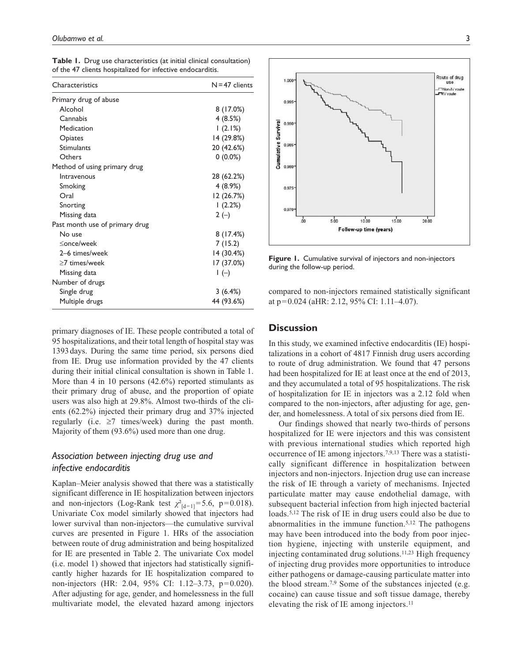| Characteristics                | $N = 47$ clients |
|--------------------------------|------------------|
| Primary drug of abuse          |                  |
| Alcohol                        | 8(17.0%)         |
| Cannabis                       | 4(8.5%)          |
| Medication                     | 1(2.1%)          |
| Opiates                        | 14 (29.8%)       |
| <b>Stimulants</b>              | 20 (42.6%)       |
| Others                         | $0(0.0\%)$       |
| Method of using primary drug   |                  |
| Intravenous                    | 28 (62.2%)       |
| Smoking                        | 4 (8.9%)         |
| Oral                           | 12 (26.7%)       |
| Snorting                       | (2.2%)           |
| Missing data                   | $2(-)$           |
| Past month use of primary drug |                  |
| No use                         | 8(17.4%)         |
| ≤once/week                     | 7(15.2)          |
| 2-6 times/week                 | 14 (30.4%)       |
| $\geq$ 7 times/week            | 17 (37.0%)       |
| Missing data                   | $\vdash$ (-)     |
| Number of drugs                |                  |
| Single drug                    | 3(6.4%)          |
| Multiple drugs                 | 44 (93.6%)       |

**Table 1.** Drug use characteristics (at initial clinical consultation) of the 47 clients hospitalized for infective endocarditis.

primary diagnoses of IE. These people contributed a total of 95 hospitalizations, and their total length of hospital stay was 1393 days. During the same time period, six persons died from IE. Drug use information provided by the 47 clients during their initial clinical consultation is shown in Table 1. More than 4 in 10 persons (42.6%) reported stimulants as their primary drug of abuse, and the proportion of opiate users was also high at 29.8%. Almost two-thirds of the clients (62.2%) injected their primary drug and 37% injected regularly (i.e. ≥7 times/week) during the past month. Majority of them (93.6%) used more than one drug.

# *Association between injecting drug use and infective endocarditis*

Kaplan–Meier analysis showed that there was a statistically significant difference in IE hospitalization between injectors and non-injectors (Log-Rank test  $\chi^2_{\text{Id}=1}$ ]=5.6, p=0.018). Univariate Cox model similarly showed that injectors had lower survival than non-injectors—the cumulative survival curves are presented in Figure 1. HRs of the association between route of drug administration and being hospitalized for IE are presented in Table 2. The univariate Cox model (i.e. model 1) showed that injectors had statistically significantly higher hazards for IE hospitalization compared to non-injectors (HR: 2.04, 95% CI: 1.12–3.73, p=0.020). After adjusting for age, gender, and homelessness in the full multivariate model, the elevated hazard among injectors



**Figure 1.** Cumulative survival of injectors and non-injectors during the follow-up period.

compared to non-injectors remained statistically significant at p=0.024 (aHR: 2.12, 95% CI: 1.11–4.07).

### **Discussion**

In this study, we examined infective endocarditis (IE) hospitalizations in a cohort of 4817 Finnish drug users according to route of drug administration. We found that 47 persons had been hospitalized for IE at least once at the end of 2013, and they accumulated a total of 95 hospitalizations. The risk of hospitalization for IE in injectors was a 2.12 fold when compared to the non-injectors, after adjusting for age, gender, and homelessness. A total of six persons died from IE.

Our findings showed that nearly two-thirds of persons hospitalized for IE were injectors and this was consistent with previous international studies which reported high occurrence of IE among injectors.7,9,13 There was a statistically significant difference in hospitalization between injectors and non-injectors. Injection drug use can increase the risk of IE through a variety of mechanisms. Injected particulate matter may cause endothelial damage, with subsequent bacterial infection from high injected bacterial loads.5,12 The risk of IE in drug users could also be due to abnormalities in the immune function.5,12 The pathogens may have been introduced into the body from poor injection hygiene, injecting with unsterile equipment, and injecting contaminated drug solutions.11,23 High frequency of injecting drug provides more opportunities to introduce either pathogens or damage-causing particulate matter into the blood stream.<sup>7,9</sup> Some of the substances injected (e.g. cocaine) can cause tissue and soft tissue damage, thereby elevating the risk of IE among injectors.<sup>11</sup>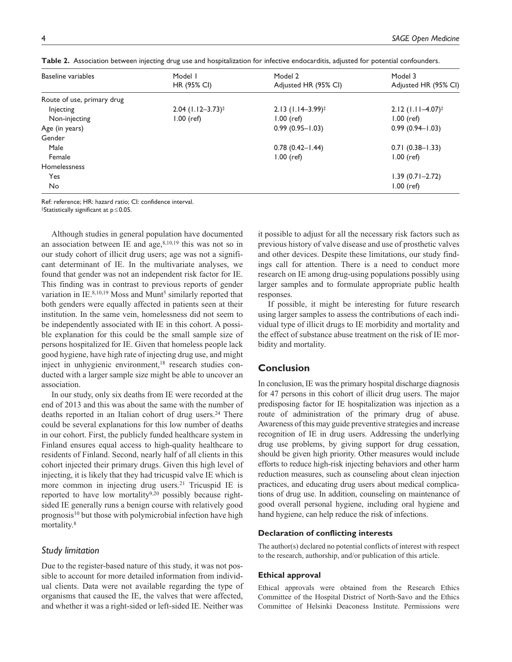| Baseline variables         | Model I                         | Model 2                         | Model 3                         |
|----------------------------|---------------------------------|---------------------------------|---------------------------------|
|                            | HR (95% CI)                     | Adjusted HR (95% CI)            | Adjusted HR (95% CI)            |
| Route of use, primary drug |                                 |                                 |                                 |
| Injecting                  | $2.04$ (1.12-3.73) <sup>‡</sup> | $2.13$ (1.14-3.99) <sup>‡</sup> | $2.12$ (1.11–4.07) <sup>‡</sup> |
| Non-injecting              | $1.00$ (ref)                    | $1.00$ (ref)                    | $1.00$ (ref)                    |
| Age (in years)             |                                 | $0.99(0.95 - 1.03)$             | $0.99(0.94 - 1.03)$             |
| Gender                     |                                 |                                 |                                 |
| Male                       |                                 | $0.78(0.42 - 1.44)$             | $0.71(0.38 - 1.33)$             |
| Female                     |                                 | $1.00$ (ref)                    | $1.00$ (ref)                    |
| Homelessness               |                                 |                                 |                                 |
| Yes                        |                                 |                                 | $1.39(0.71 - 2.72)$             |
| No                         |                                 |                                 | $1.00$ (ref)                    |

**Table 2.** Association between injecting drug use and hospitalization for infective endocarditis, adjusted for potential confounders.

Ref: reference; HR: hazard ratio; CI: confidence interval.

‡Statistically significant at p≤0.05.

Although studies in general population have documented an association between IE and age,<sup>8,10,19</sup> this was not so in our study cohort of illicit drug users; age was not a significant determinant of IE. In the multivariate analyses, we found that gender was not an independent risk factor for IE. This finding was in contrast to previous reports of gender variation in IE.<sup>8,10,19</sup> Moss and Munt<sup>5</sup> similarly reported that both genders were equally affected in patients seen at their institution. In the same vein, homelessness did not seem to be independently associated with IE in this cohort. A possible explanation for this could be the small sample size of persons hospitalized for IE. Given that homeless people lack good hygiene, have high rate of injecting drug use, and might inject in unhygienic environment,<sup>18</sup> research studies conducted with a larger sample size might be able to uncover an association.

In our study, only six deaths from IE were recorded at the end of 2013 and this was about the same with the number of deaths reported in an Italian cohort of drug users.<sup>24</sup> There could be several explanations for this low number of deaths in our cohort. First, the publicly funded healthcare system in Finland ensures equal access to high-quality healthcare to residents of Finland. Second, nearly half of all clients in this cohort injected their primary drugs. Given this high level of injecting, it is likely that they had tricuspid valve IE which is more common in injecting drug users.21 Tricuspid IE is reported to have low mortality<sup>9,20</sup> possibly because rightsided IE generally runs a benign course with relatively good prognosis<sup>10</sup> but those with polymicrobial infection have high mortality.8

### *Study limitation*

Due to the register-based nature of this study, it was not possible to account for more detailed information from individual clients. Data were not available regarding the type of organisms that caused the IE, the valves that were affected, and whether it was a right-sided or left-sided IE. Neither was

it possible to adjust for all the necessary risk factors such as previous history of valve disease and use of prosthetic valves and other devices. Despite these limitations, our study findings call for attention. There is a need to conduct more research on IE among drug-using populations possibly using larger samples and to formulate appropriate public health responses.

If possible, it might be interesting for future research using larger samples to assess the contributions of each individual type of illicit drugs to IE morbidity and mortality and the effect of substance abuse treatment on the risk of IE morbidity and mortality.

### **Conclusion**

In conclusion, IE was the primary hospital discharge diagnosis for 47 persons in this cohort of illicit drug users. The major predisposing factor for IE hospitalization was injection as a route of administration of the primary drug of abuse. Awareness of this may guide preventive strategies and increase recognition of IE in drug users. Addressing the underlying drug use problems, by giving support for drug cessation, should be given high priority. Other measures would include efforts to reduce high-risk injecting behaviors and other harm reduction measures, such as counseling about clean injection practices, and educating drug users about medical complications of drug use. In addition, counseling on maintenance of good overall personal hygiene, including oral hygiene and hand hygiene, can help reduce the risk of infections.

#### **Declaration of conflicting interests**

The author(s) declared no potential conflicts of interest with respect to the research, authorship, and/or publication of this article.

#### **Ethical approval**

Ethical approvals were obtained from the Research Ethics Committee of the Hospital District of North-Savo and the Ethics Committee of Helsinki Deaconess Institute. Permissions were